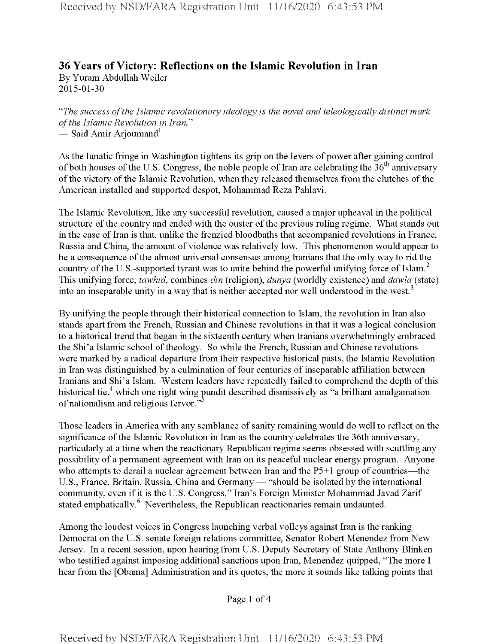## **36 Years of Victory: Reflections on the Islamic Revolution in Iran** By Yuram Abdullah Weiler 2015-01-30

*"The success ofthe Islamic revolutionary ideology is the novel and teleologically distinct mark ofthe Islamic Revolution in Iran."* — Said Amir Arjoumand<sup>1</sup>

As the lunatic fringe in Washington tightens its grip on the levers of power after gaining control of both houses of the U.S. Congress, the noble people of Iran are celebrating the  $36<sup>th</sup>$  anniversary of the victory of the Islamic Revolution, when they released themselves from the clutches of the American installed and supported despot, Mohammad Reza Pahlavi.

The Islamic Revolution, like any successful revolution, caused a major upheaval in the political structure of the country and ended with the ouster of the previous ruling regime. What stands out in the case of Iran is that, unlike the frenzied bloodbaths that accompanied revolutions in France, Russia and China, the amount of violence was relatively low. This phenomenon would appear to be a consequence of the almost universal consensus among Iranians that the only way to rid the country of the U.S.-supported tyrant was to unite behind the powerful unifying force of Islam.<sup>2</sup> This unifying force, *tawhid,* combines *din* (religion), *dunya* (worldly existence) and *dawla* (state) into an inseparable unity in a way that is neither accepted nor well understood in the west.<sup>3</sup>

By unifying the people through their historical connection to Islam, the revolution in Iran also stands apart from the French, Russian and Chinese revolutions in that it was a logical conclusion to a historical trend that began in the sixteenth century when Iranians overwhelmingly embraced the Shi'a Islamic school of theology. So while the French, Russian and Chinese revolutions were marked by a radical departure from their respective historical pasts, the Islamic Revolution in Iran was distinguished by a culmination of four centuries of inseparable affiliation between Iranians and Shi'a Islam. Western leaders have repeatedly failed to comprehend the depth of this historical tie,<sup>4</sup> which one right wing pundit described dismissively as "a brilliant amalgamation of nationalism and religious fervor."

Those leaders in America with any semblance of sanity remaining would do well to reflect on the significance of the Islamic Revolution in Iran as the country celebrates the 36th anniversary, particularly at a time when the reactionary Republican regime seems obsessed with scuttling any possibility of a permanent agreement with Iran on its peaceful nuclear energy program. Anyone who attempts to derail a nuclear agreement between Iran and the P5+1 group of countries—the U.S., France, Britain, Russia, China and Germany — "should be isolated by the international community, even if it is the U.S. Congress," Iran's Foreign Minister Mohammad Javad Zarif stated emphatically.<sup>6</sup> Nevertheless, the Republican reactionaries remain undaunted.

Among the loudest voices in Congress launching verbal volleys against Iran is the ranking Democrat on the U.S. senate foreign relations committee, Senator Robert Menendez from New Jersey. In a recent session, upon hearing from U.S. Deputy Secretary of State Anthony Blinken who testified against imposing additional sanctions upon Iran, Menendez quipped, "The more I hear from the [Obama] Administration and its quotes, the more it sounds like talking points that

Page <sup>1</sup> of 4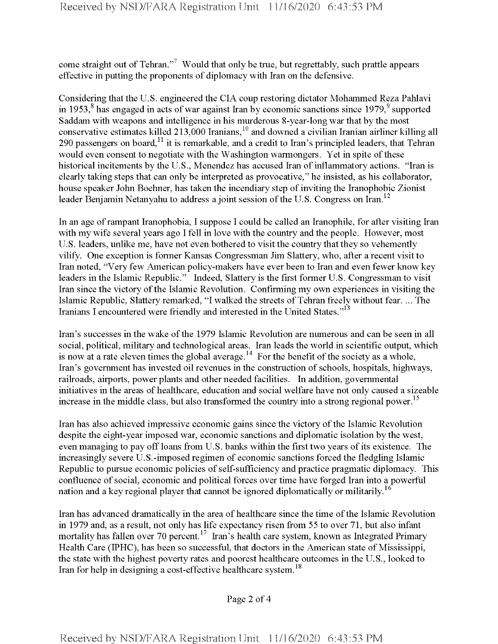come straight out of Tehran."<sup>7</sup> Would that only be true, but regrettably, such prattle appears effective in putting the proponents of diplomacy with Iran on the defensive.

Considering that the U.S. engineered the CIA coup restoring dictator Mohammed Reza Pahlavi in 1953, $\delta$  has engaged in acts of war against Iran by economic sanctions since 1979, $\delta$  supported Saddam with weapons and intelligence in his murderous 8-year-long war that by the most conservative estimates killed 213,000 Iranians,<sup>10</sup> and downed a civilian Iranian airliner killing all 290 passengers on board, $^{11}$  it is remarkable, and a credit to Iran's principled leaders, that Tehran would even consent to negotiate with the Washington warmongers. Yet in spite of these historical incitements by the U.S., Menendez has accused Iran of inflammatory actions. "Iran is clearly taking steps that can only be interpreted as provocative," he insisted, as his collaborator, house speaker John Boehner, has taken the incendiary step of inviting the Iranophobic Zionist 1eader Benjamin Netanyahu to address a joint session of the U.S. Congress on Iran.<sup>12</sup>

In an age oframpant Iranophobia, I suppose I could be called an Iranophile, for after visiting Iran with my wife several years ago I fell in love with the country and the people. However, most U.S. leaders, unlike me, have not even bothered to visit the country that they so vehemently vilify. One exception is former Kansas Congressman Jim Slattery, who, after a recent visit to Iran noted, "Very few American policy-makers have ever been to Iran and even fewer know key leaders in the Islamic Republic." Indeed, Slattery is the first former U.S. Congressman to visit Iran since the victory of the Islamic Revolution. Confirming my own experiences in visiting the Islamic Republic, Slattery remarked, "I walked the streets of Tehran freely without fear. ... The Iranians I encountered were friendly and interested in the United States."<sup>13</sup>

Iran's successes in the wake ofthe 1979 Islamic Revolution are numerous and can be seen in all social, political, military and technological areas. Iran leads the world in scientific output, which is now at a rate eleven times the global average.<sup>14</sup> For the benefit of the society as a whole, Iran's government has invested oil revenues in the construction of schools, hospitals, highways, railroads, airports, power plants and other needed facilities. In addition, governmental initiatives in the areas of healthcare, education and social welfare have not only caused a sizeable increase in the middle class, but also transformed the country into a strong regional power.<sup>15</sup>

Iran has also achieved impressive economic gains since the victory ofthe Islamic Revolution despite the eight-year imposed war, economic sanctions and diplomatic isolation by the west, even managing to pay off loans from U.S. banks within the first two years of its existence. The increasingly severe U.S.-imposed regimen of economic sanctions forced the fledgling Islamic Republic to pursue economic policies of self-sufficiency and practice pragmatic diplomacy. This confluence of social, economic and political forces over time have forged Iran into a powerful nation and a key regional player that cannot be ignored diplomatically or militarily.<sup>16</sup>

Iran has advanced dramatically in the area of healthcare since the time ofthe Islamic Revolution in 1979 and, as a result, not only has life expectancy risen from 55 to over 71, but also infant mortality has fallen over 70 percent.<sup>17</sup> Iran's health care system, known as Integrated Primary Health Care (IPHC), has been so successful, that doctors in the American state of Mississippi, the state with the highest poverty rates and poorest healthcare outcomes in the U.S., looked to Iran for help in designing a cost-effective healthcare system.<sup>18</sup>

Page 2 of 4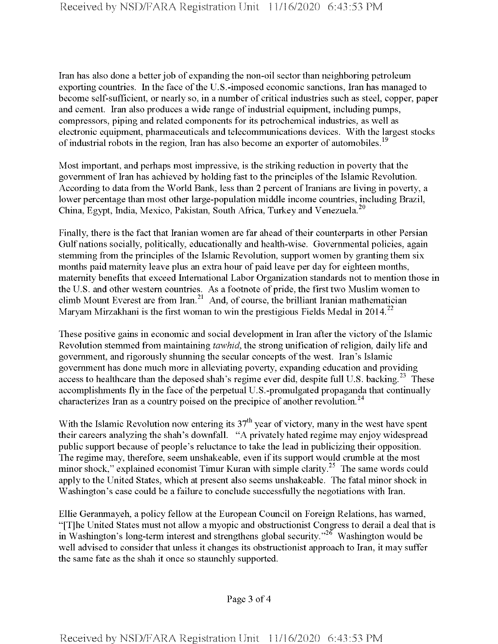Iran has also done a better job of expanding the non-oil sector than neighboring petroleum exporting countries. In the face of the U.S.-imposed economic sanctions, Iran has managed to become self-sufficient, or nearly so, in a number of critical industries such as steel, copper, paper and cement. Iran also produces a wide range of industrial equipment, including pumps, compressors, piping and related components for its petrochemical industries, as well as electronic equipment, pharmaceuticals and telecommunications devices. With the largest stocks of industrial robots in the region, Iran has also become an exporter of automobiles.<sup>19</sup>

Most important, and perhaps most impressive, is the striking reduction in poverty that the government of Iran has achieved by holding fast to the principles of the Islamic Revolution. According to data from the World Bank, less than 2 percent of Iranians are living in poverty, a lower percentage than most other large-population middle income countries, including Brazil, China, Egypt, India, Mexico, Pakistan, South Africa, Turkey and Venezuela.<sup>20</sup>

Finally, there is the fact that Iranian women are far ahead of their counterparts in other Persian Gulf nations socially, politically, educationally and health-wise. Governmental policies, again stemming from the principles of the Islamic Revolution, support women by granting them six months paid maternity leave plus an extra hour of paid leave per day for eighteen months, maternity benefits that exceed International Labor Organization standards not to mention those in the U.S. and other western countries. As a footnote of pride, the first two Muslim women to climb Mount Everest are from Iran.<sup>21</sup> And, of course, the brilliant Iranian mathematician Maryam Mirzakhani is the first woman to win the prestigious Fields Medal in 2014.<sup>22</sup>

These positive gains in economic and social development in Iran after the victory of the Islamic Revolution stemmed from maintaining *tawhid*, the strong unification of religion, daily life and government, and rigorously shunning the secular concepts ofthe west. Iran's Islamic government has done much more in alleviating poverty, expanding education and providing access to healthcare than the deposed shah's regime ever did, despite full U.S. backing.<sup>23</sup> These accomplishments fly in the face of the perpetual U.S.-promulgated propaganda that continually characterizes Iran as a country poised on the precipice of another revolution.<sup>24</sup>

With the Islamic Revolution now entering its  $37<sup>th</sup>$  year of victory, many in the west have spent their careers analyzing the shah's downfall. "A privately hated regime may enjoy widespread public support because of people's reluctance to take the lead in publicizing their opposition. The regime may, therefore, seem unshakeable, even if its support would crumble at the most minor shock," explained economist Timur Kuran with simple clarity.<sup>25</sup> The same words could apply to the United States, which at present also seems unshakeable. The fatal minor shock in Washington's case could be a failure to conclude successfully the negotiations with Iran.

Ellie Geranmayeh, a policy fellow at the European Council on Foreign Relations, has warned, "[T]he United States must not allow a myopic and obstructionist Congress to derail a deal that is in Washington's long-term interest and strengthens global security."<sup>26</sup> Washington would be well advised to consider that unless it changes its obstructionist approach to Iran, it may suffer the same fate as the shah it once so staunchly supported.

Page 3 of 4